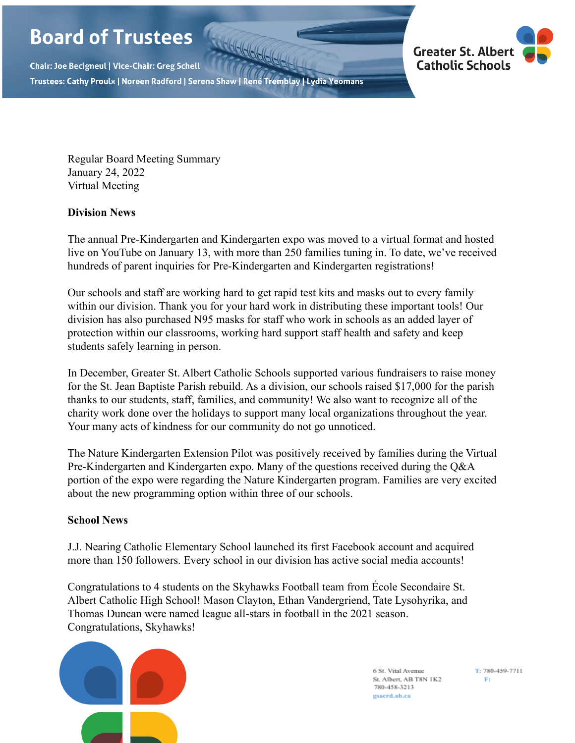# **Board of Trustees**

Chair: Joe Becigneul | Vice-Chair: Greg Schell Trustees: Cathy Proulx | Noreen Radford | Serena Shaw | René Tremblay | Lydia Yeomans



Regular Board Meeting Summary January 24, 2022 Virtual Meeting

## **Division News**

The annual Pre-Kindergarten and Kindergarten expo was moved to a virtual format and hosted live on YouTube on January 13, with more than 250 families tuning in. To date, we've received hundreds of parent inquiries for Pre-Kindergarten and Kindergarten registrations!

Our schools and staff are working hard to get rapid test kits and masks out to every family within our division. Thank you for your hard work in distributing these important tools! Our division has also purchased N95 masks for staff who work in schools as an added layer of protection within our classrooms, working hard support staff health and safety and keep students safely learning in person.

In December, Greater St. Albert Catholic Schools supported various fundraisers to raise money for the St. Jean Baptiste Parish rebuild. As a division, our schools raised \$17,000 for the parish thanks to our students, staff, families, and community! We also want to recognize all of the charity work done over the holidays to support many local organizations throughout the year. Your many acts of kindness for our community do not go unnoticed.

The Nature Kindergarten Extension Pilot was positively received by families during the Virtual Pre-Kindergarten and Kindergarten expo. Many of the questions received during the Q&A portion of the expo were regarding the Nature Kindergarten program. Families are very excited about the new programming option within three of our schools.

### **School News**

J.J. Nearing Catholic Elementary School launched its first Facebook account and acquired more than 150 followers. Every school in our division has active social media accounts!

Congratulations to 4 students on the Skyhawks Football team from École Secondaire St. Albert Catholic High School! Mason Clayton, Ethan Vandergriend, Tate Lysohyrika, and Thomas Duncan were named league all-stars in football in the 2021 season. Congratulations, Skyhawks!



6 St. Vital Avenue St. Albert, AB T8N 1K2 780-458-3213 gsacrd.ab.ca

T: 780-459-7711  $Ft$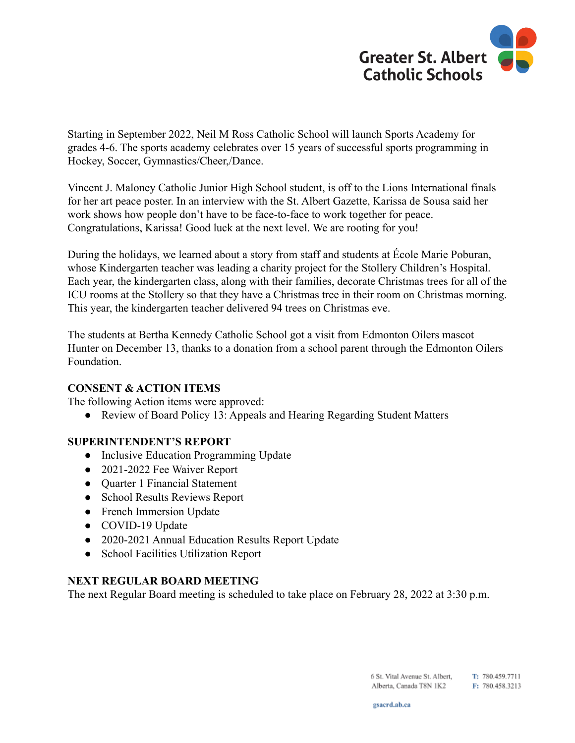

Starting in September 2022, Neil M Ross Catholic School will launch Sports Academy for grades 4-6. The sports academy celebrates over 15 years of successful sports programming in Hockey, Soccer, Gymnastics/Cheer,/Dance.

Vincent J. Maloney Catholic Junior High School student, is off to the Lions International finals for her art peace poster. In an interview with the St. Albert Gazette, Karissa de Sousa said her work shows how people don't have to be face-to-face to work together for peace. Congratulations, Karissa! Good luck at the next level. We are rooting for you!

During the holidays, we learned about a story from staff and students at École Marie Poburan, whose Kindergarten teacher was leading a charity project for the Stollery Children's Hospital. Each year, the kindergarten class, along with their families, decorate Christmas trees for all of the ICU rooms at the Stollery so that they have a Christmas tree in their room on Christmas morning. This year, the kindergarten teacher delivered 94 trees on Christmas eve.

The students at Bertha Kennedy Catholic School got a visit from Edmonton Oilers mascot Hunter on December 13, thanks to a donation from a school parent through the Edmonton Oilers Foundation.

### **CONSENT & ACTION ITEMS**

The following Action items were approved:

● Review of Board Policy 13: Appeals and Hearing Regarding Student Matters

### **SUPERINTENDENT'S REPORT**

- Inclusive Education Programming Update
- 2021-2022 Fee Waiver Report
- Quarter 1 Financial Statement
- School Results Reviews Report
- French Immersion Update
- COVID-19 Update
- 2020-2021 Annual Education Results Report Update
- School Facilities Utilization Report

#### **NEXT REGULAR BOARD MEETING**

The next Regular Board meeting is scheduled to take place on February 28, 2022 at 3:30 p.m.